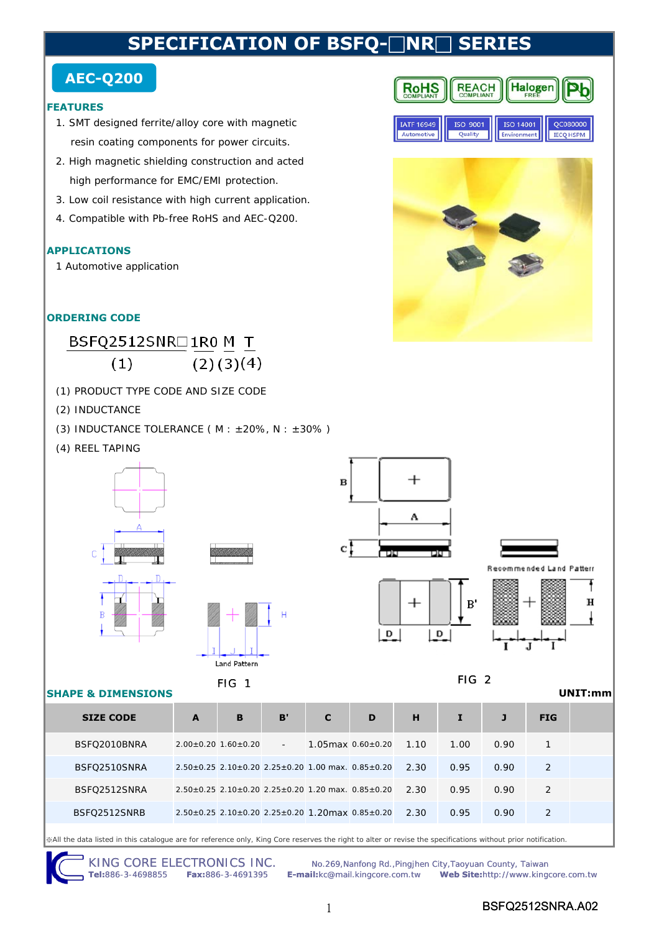# **SPECIFICATION OF BSFO-□NR□ SERI**

# **AEC-Q200**

### **FEATURES**

- 1. SMT designed ferrite/alloy core with magnetic resin coating components for power circuits.
- 2. High magnetic shielding construction and acted high performance for EMC/EMI protection.
- 3. Low coil resistance with high current application.
- 4. Compatible with Pb-free RoHS and AEC-Q200.

## **APPLICATIONS**

1 Automotive application

# **ORDERING CODE**

#### BSFQ2512SNR□1R0 M T  $(2)(3)(4)$  $(1)$

- (1) PRODUCT TYPE CODE AND SIZE CODE
- (2) INDUCTANCE
- (3) INDUCTANCE TOLERANCE ( $M : ±20\%$ ,  $N : ±30\%$ )
- (4) REEL TAPING





### **SHAPE & DIMENSIONS**

| $\overline{\mathbf{B}}$ |           |
|-------------------------|-----------|
|                         | А         |
| $\mathbf{c}$ ,          | TOU<br>חר |





7

# FIG 1 FIG 2

**REACH**<br>COMPLIANT

ISO 9001

Quality

**RoHS** 

**IATF 16949** 

Automotive

**Halogen** 

QC080000

**IECQ HSPM** 

ERE

ISO 14001

Environment

**UNIT:mm**

| <b>SIZE CODE</b> | A                                                   | B | B'     | C | D                                                                       | н    |      |      | <b>FIG</b> |  |
|------------------|-----------------------------------------------------|---|--------|---|-------------------------------------------------------------------------|------|------|------|------------|--|
| BSFQ2010BNRA     | $2.00\pm0.20$ 1.60 $\pm$ 0.20                       |   | $\sim$ |   | $1.05$ max $0.60\pm0.20$                                                | 1.10 | 1.00 | 0.90 |            |  |
| BSFQ2510SNRA     |                                                     |   |        |   | $2.50\pm0.25$ 2.10 $\pm$ 0.20 2.25 $\pm$ 0.20 1.00 max. 0.85 $\pm$ 0.20 | 2.30 | 0.95 | 0.90 | 2          |  |
| BSFO2512SNRA     | $2.50+0.25$ 2.10+0.20 2.25+0.20 1.20 max. 0.85+0.20 |   |        |   |                                                                         | 2.30 | 0.95 | 0.90 | 2          |  |
| BSFO2512SNRB     |                                                     |   |        |   | $2.50\pm0.25$ 2.10 $\pm$ 0.20 2.25 $\pm$ 0.20 1.20 max 0.85 $\pm$ 0.20  | 2.30 | 0.95 | 0.90 | 2          |  |

※All the data listed in this catalogue are for reference only, King Core reserves the right to alter or revise the specifications without prior notification.

KING CORE ELECTRONICS INC. No.269, Nanfong Rd., Pingjhen City, Taoyuan County, Taiwan<br>Tel:886-3-4698855 Fax:886-3-4691395 E-mail:kc@mail.kingcore.com.tw Web Site:http://www.king **Tel:**886-3-4698855 **Fax:**886-3-4691395 **E-mail:**kc@mail.kingcore.com.tw **Web Site:**http://www.kingcore.com.tw